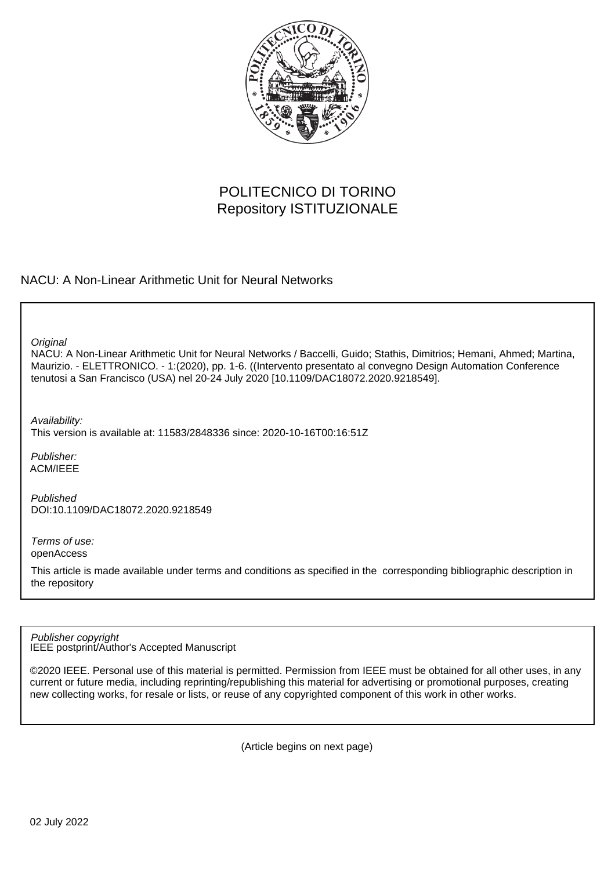

# POLITECNICO DI TORINO Repository ISTITUZIONALE

NACU: A Non-Linear Arithmetic Unit for Neural Networks

**Original** 

NACU: A Non-Linear Arithmetic Unit for Neural Networks / Baccelli, Guido; Stathis, Dimitrios; Hemani, Ahmed; Martina, Maurizio. - ELETTRONICO. - 1:(2020), pp. 1-6. ((Intervento presentato al convegno Design Automation Conference tenutosi a San Francisco (USA) nel 20-24 July 2020 [10.1109/DAC18072.2020.9218549].

Availability:

This version is available at: 11583/2848336 since: 2020-10-16T00:16:51Z

Publisher: ACM/IEEE

Published DOI:10.1109/DAC18072.2020.9218549

Terms of use: openAccess

This article is made available under terms and conditions as specified in the corresponding bibliographic description in the repository

IEEE postprint/Author's Accepted Manuscript Publisher copyright

©2020 IEEE. Personal use of this material is permitted. Permission from IEEE must be obtained for all other uses, in any current or future media, including reprinting/republishing this material for advertising or promotional purposes, creating new collecting works, for resale or lists, or reuse of any copyrighted component of this work in other works.

(Article begins on next page)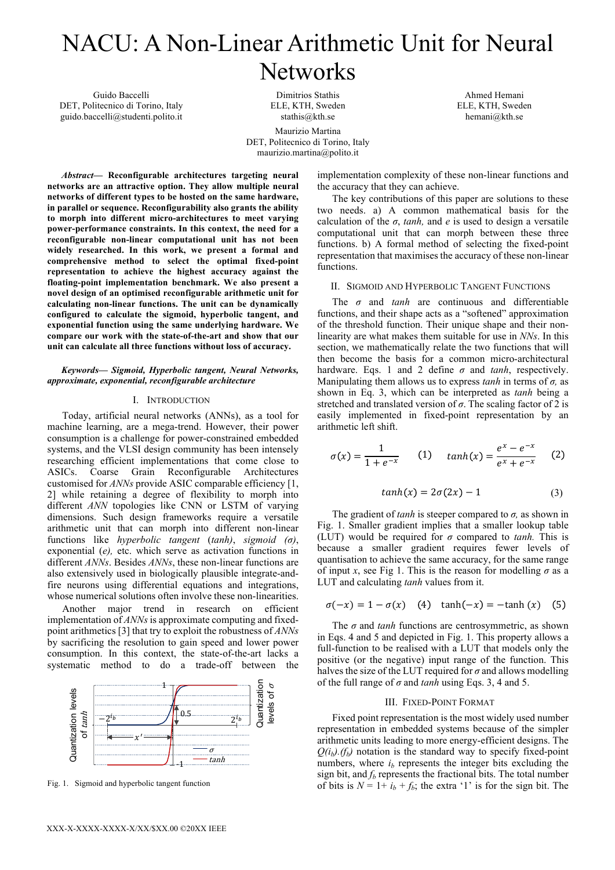# NACU: A Non-Linear Arithmetic Unit for Neural **Networks**

Guido Baccelli DET, Politecnico di Torino, Italy guido.baccelli@studenti.polito.it

Dimitrios Stathis ELE, KTH, Sweden stathis@kth.se

Ahmed Hemani ELE, KTH, Sweden hemani@kth.se

Maurizio Martina DET, Politecnico di Torino, Italy maurizio.martina@polito.it

*Abstract***— Reconfigurable architectures targeting neural networks are an attractive option. They allow multiple neural networks of different types to be hosted on the same hardware, in parallel or sequence. Reconfigurability also grants the ability to morph into different micro-architectures to meet varying power-performance constraints. In this context, the need for a reconfigurable non-linear computational unit has not been widely researched. In this work, we present a formal and comprehensive method to select the optimal fixed-point representation to achieve the highest accuracy against the floating-point implementation benchmark. We also present a novel design of an optimised reconfigurable arithmetic unit for calculating non-linear functions. The unit can be dynamically configured to calculate the sigmoid, hyperbolic tangent, and exponential function using the same underlying hardware. We compare our work with the state-of-the-art and show that our unit can calculate all three functions without loss of accuracy.**

#### *Keywords— Sigmoid, Hyperbolic tangent, Neural Networks, approximate, exponential, reconfigurable architecture*

#### I. INTRODUCTION

Today, artificial neural networks (ANNs), as a tool for machine learning, are a mega-trend. However, their power consumption is a challenge for power-constrained embedded systems, and the VLSI design community has been intensely researching efficient implementations that come close to ASICs. Coarse Grain Reconfigurable Architectures customised for *ANNs* provide ASIC comparable efficiency [1, 2] while retaining a degree of flexibility to morph into different *ANN* topologies like CNN or LSTM of varying dimensions. Such design frameworks require a versatile arithmetic unit that can morph into different non-linear functions like *hyperbolic tangent* (*tanh)*, *sigmoid (σ)*, exponential (*e),* etc. which serve as activation functions in different *ANNs*. Besides *ANNs*, these non-linear functions are also extensively used in biologically plausible integrate-andfire neurons using differential equations and integrations, whose numerical solutions often involve these non-linearities.

Another major trend in research on efficient implementation of *ANNs* is approximate computing and fixedpoint arithmetics [3] that try to exploit the robustness of *ANNs* by sacrificing the resolution to gain speed and lower power consumption. In this context, the state-of-the-art lacks a systematic method to do a trade-off between the



implementation complexity of these non-linear functions and the accuracy that they can achieve.

The key contributions of this paper are solutions to these two needs. a) A common mathematical basis for the calculation of the  $\sigma$ , *tanh*, and *e* is used to design a versatile computational unit that can morph between these three functions. b) A formal method of selecting the fixed-point representation that maximises the accuracy of these non-linear functions.

#### II. SIGMOID AND HYPERBOLIC TANGENT FUNCTIONS

The *σ* and *tanh* are continuous and differentiable functions, and their shape acts as a "softened" approximation of the threshold function. Their unique shape and their nonlinearity are what makes them suitable for use in *NNs*. In this section, we mathematically relate the two functions that will then become the basis for a common micro-architectural hardware. Eqs. 1 and 2 define *σ* and *tanh*, respectively. Manipulating them allows us to express *tanh* in terms of *σ,* as shown in Eq. 3, which can be interpreted as *tanh* being a stretched and translated version of  $\sigma$ . The scaling factor of 2 is easily implemented in fixed-point representation by an arithmetic left shift.

$$
\sigma(x) = \frac{1}{1 + e^{-x}} \qquad (1) \qquad \tanh(x) = \frac{e^x - e^{-x}}{e^x + e^{-x}} \qquad (2)
$$

$$
tanh(x) = 2\sigma(2x) - 1\tag{3}
$$

The gradient of *tanh* is steeper compared to *σ,* as shown in Fig. 1. Smaller gradient implies that a smaller lookup table (LUT) would be required for  $\sigma$  compared to *tanh*. This is because a smaller gradient requires fewer levels of quantisation to achieve the same accuracy, for the same range of input *x*, see Fig 1. This is the reason for modelling  $\sigma$  as a LUT and calculating *tanh* values from it.

$$
\sigma(-x) = 1 - \sigma(x)
$$
 (4)  $\tanh(-x) = -\tanh(x)$  (5)

The *σ* and *tanh* functions are centrosymmetric, as shown in Eqs. 4 and 5 and depicted in Fig. 1. This property allows a full-function to be realised with a LUT that models only the positive (or the negative) input range of the function. This halves the size of the LUT required for  $\sigma$  and allows modelling of the full range of  $\sigma$  and *tanh* using Eqs. 3, 4 and 5.

#### III. FIXED-POINT FORMAT

Fixed point representation is the most widely used number representation in embedded systems because of the simpler arithmetic units leading to more energy-efficient designs. The  $Q(i<sub>b</sub>)$ .(f<sub>b</sub>) notation is the standard way to specify fixed-point numbers, where  $i<sub>b</sub>$  represents the integer bits excluding the sign bit, and  $f_b$  represents the fractional bits. The total number Fig. 1. Sigmoid and hyperbolic tangent function of bits is  $N = 1 + i_b + f_b$ ; the extra '1' is for the sign bit. The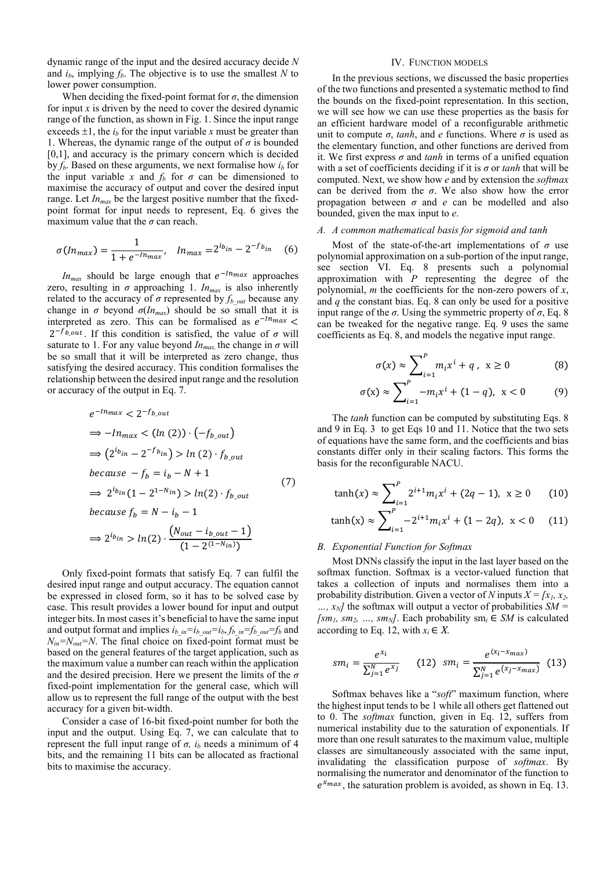dynamic range of the input and the desired accuracy decide *N* and  $i_b$ , implying  $f_b$ . The objective is to use the smallest *N* to lower power consumption.

When deciding the fixed-point format for  $\sigma$ , the dimension for input *x* is driven by the need to cover the desired dynamic range of the function, as shown in Fig. 1. Since the input range exceeds  $\pm 1$ , the  $i_b$  for the input variable *x* must be greater than 1. Whereas, the dynamic range of the output of  $\sigma$  is bounded [0,1], and accuracy is the primary concern which is decided by  $f<sub>b</sub>$ . Based on these arguments, we next formalise how  $i<sub>b</sub>$  for the input variable x and  $f<sub>b</sub>$  for  $\sigma$  can be dimensioned to maximise the accuracy of output and cover the desired input range. Let  $In<sub>max</sub>$  be the largest positive number that the fixedpoint format for input needs to represent, Eq. 6 gives the maximum value that the  $\sigma$  can reach.

$$
\sigma(1n_{max}) = \frac{1}{1 + e^{-1n_{max}}}, \quad 1n_{max} = 2^{i_{bin}} - 2^{-f_{bin}} \quad (6)
$$

 $In_{max}$  should be large enough that  $e^{-In_{max}}$  approaches zero, resulting in  $\sigma$  approaching 1. *In<sub>max</sub>* is also inherently related to the accuracy of  $\sigma$  represented by  $f_{b \text{ out}}$  because any change in  $\sigma$  beyond  $\sigma(\ln_{max})$  should be so small that it is interpreted as zero. This can be formalised as  $e^{-\ln max}$  <  $2^{-f_{b,out}}$ . If this condition is satisfied, the value of  $\sigma$  will saturate to 1. For any value beyond  $In_{max}$ , the change in  $\sigma$  will be so small that it will be interpreted as zero change, thus satisfying the desired accuracy. This condition formalises the relationship between the desired input range and the resolution or accuracy of the output in Eq. 7.

$$
e^{-ln_{max}} < 2^{-f_{b,out}}
$$
  
\n
$$
\Rightarrow -ln_{max} < (ln (2)) \cdot (-f_{b,out})
$$
  
\n
$$
\Rightarrow (2^{i_{bin}} - 2^{-f_{bin}}) > ln (2) \cdot f_{b,out}
$$
  
\n
$$
because -f_b = i_b - N + 1
$$
  
\n
$$
\Rightarrow 2^{i_{bin}} (1 - 2^{1-N_{in}}) > ln(2) \cdot f_{b,out}
$$
  
\n
$$
because f_b = N - i_b - 1
$$
  
\n
$$
\Rightarrow 2^{i_{bin}} > ln(2) \cdot \frac{(N_{out} - i_{b,out} - 1)}{(1 - 2^{(1-N_{in})})}
$$

Only fixed-point formats that satisfy Eq. 7 can fulfil the desired input range and output accuracy. The equation cannot be expressed in closed form, so it has to be solved case by case. This result provides a lower bound for input and output integer bits. In most cases it's beneficial to have the same input and output format and implies  $i_{b\_in} = i_{b\_out} = i_b$ ,  $f_{b\_in} = f_{b\_out} = f_b$  and  $N_{in} = N_{out} = N$ . The final choice on fixed-point format must be based on the general features of the target application, such as the maximum value a number can reach within the application and the desired precision. Here we present the limits of the *σ* fixed-point implementation for the general case, which will allow us to represent the full range of the output with the best accuracy for a given bit-width.

Consider a case of 16-bit fixed-point number for both the input and the output. Using Eq. 7, we can calculate that to represent the full input range of  $σ$ ,  $i<sub>b</sub>$  needs a minimum of 4 bits, and the remaining 11 bits can be allocated as fractional bits to maximise the accuracy.

# IV. FUNCTION MODELS

In the previous sections, we discussed the basic properties of the two functions and presented a systematic method to find the bounds on the fixed-point representation. In this section, we will see how we can use these properties as the basis for an efficient hardware model of a reconfigurable arithmetic unit to compute  $\sigma$ , *tanh*, and *e* functions. Where  $\sigma$  is used as the elementary function, and other functions are derived from it. We first express *σ* and *tanh* in terms of a unified equation with a set of coefficients deciding if it is  $\sigma$  or *tanh* that will be computed. Next, we show how *e* and by extension the *softmax* can be derived from the *σ*. We also show how the error propagation between  $\sigma$  and  $e$  can be modelled and also bounded, given the max input to *e*.

# *A. A common mathematical basis for sigmoid and tanh*

Most of the state-of-the-art implementations of  $\sigma$  use polynomial approximation on a sub-portion of the input range, see section VI. Eq. 8 presents such a polynomial approximation with *P* representing the degree of the polynomial, *m* the coefficients for the non-zero powers of *x*, and *q* the constant bias. Eq. 8 can only be used for a positive input range of the  $\sigma$ . Using the symmetric property of  $\sigma$ , Eq. 8 can be tweaked for the negative range. Eq. 9 uses the same coefficients as Eq. 8, and models the negative input range.

$$
\sigma(x) \approx \sum_{i=1}^{P} m_i x^i + q, \ \ x \ge 0 \tag{8}
$$

$$
\sigma(x) \approx \sum_{i=1}^{P} -m_i x^i + (1 - q), \ \ x < 0 \tag{9}
$$

The *tanh* function can be computed by substituting Eqs. 8 and 9 in Eq. 3 to get Eqs 10 and 11. Notice that the two sets of equations have the same form, and the coefficients and bias constants differ only in their scaling factors. This forms the basis for the reconfigurable NACU.

$$
\tanh(x) \approx \sum_{i=1}^{P} 2^{i+1} m_i x^i + (2q - 1), \ \ x \ge 0 \qquad (10)
$$

$$
\tanh(x) \approx \sum_{i=1}^{P} -2^{i+1} m_i x^i + (1 - 2q), \ \ x < 0 \tag{11}
$$

# *B. Exponential Function for Softmax*

Most DNNs classify the input in the last layer based on the softmax function. Softmax is a vector-valued function that takes a collection of inputs and normalises them into a probability distribution. Given a vector of *N* inputs  $X = [x_1, x_2,$ *…, xN]* the softmax will output a vector of probabilities *SM =*  $[sm_1, sm_2, ..., sm_N]$ . Each probability sm<sub>i</sub>  $\in SM$  is calculated according to Eq. 12, with  $x_i \in X$ .

$$
sm_i = \frac{e^{x_i}}{\sum_{j=1}^{N} e^{x_j}} \qquad (12) \quad sm_i = \frac{e^{(x_i - x_{max})}}{\sum_{j=1}^{N} e^{(x_j - x_{max})}} \quad (13)
$$

Softmax behaves like a "*soft*" maximum function, where the highest input tends to be 1 while all others get flattened out to 0. The *softmax* function, given in Eq. 12, suffers from numerical instability due to the saturation of exponentials. If more than one result saturates to the maximum value, multiple classes are simultaneously associated with the same input, invalidating the classification purpose of *softmax*. By normalising the numerator and denominator of the function to  $e^{x_{max}}$ , the saturation problem is avoided, as shown in Eq. 13.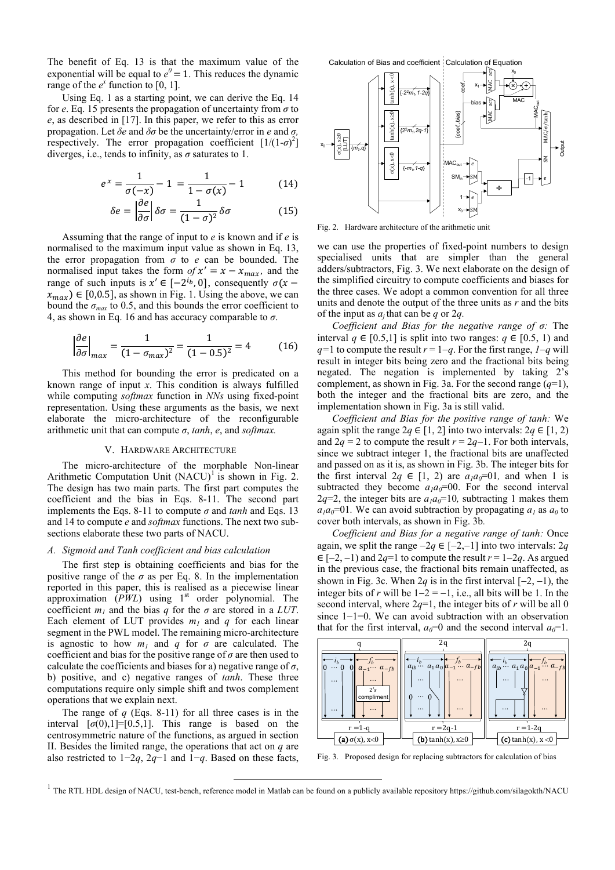The benefit of Eq. 13 is that the maximum value of the exponential will be equal to  $e^0 = 1$ . This reduces the dynamic range of the  $e^x$  function to [0, 1].

Using Eq. 1 as a starting point, we can derive the Eq. 14 for *e*. Eq. 15 presents the propagation of uncertainty from  $\sigma$  to *e*, as described in [17]. In this paper, we refer to this as error propagation. Let *δe* and *δσ* be the uncertainty/error in *e* and *σ,* respectively. The error propagation coefficient  $[1/(1-\sigma)^2]$ diverges, i.e., tends to infinity, as *σ* saturates to 1.

$$
e^{x} = \frac{1}{\sigma(-x)} - 1 = \frac{1}{1 - \sigma(x)} - 1
$$
 (14)

$$
\delta e = \left| \frac{\partial e}{\partial \sigma} \right| \delta \sigma = \frac{1}{(1 - \sigma)^2} \delta \sigma \tag{15}
$$

Assuming that the range of input to *e* is known and if *e* is normalised to the maximum input value as shown in Eq. 13, the error propagation from *σ* to *e* can be bounded. The normalised input takes the form  $of x' = x - x_{max}$ , and the range of such inputs is  $x' \in [-2^{i_b}, 0]$ , consequently  $\sigma(x (x_{max}) \in [0, 0.5]$ , as shown in Fig. 1. Using the above, we can bound the  $\sigma_{max}$  to 0.5, and this bounds the error coefficient to 4, as shown in Eq. 16 and has accuracy comparable to *σ*.

$$
\left. \frac{\partial e}{\partial \sigma} \right|_{max} = \frac{1}{(1 - \sigma_{max})^2} = \frac{1}{(1 - 0.5)^2} = 4
$$
 (16)

This method for bounding the error is predicated on a known range of input *x*. This condition is always fulfilled while computing *softmax* function in *NNs* using fixed-point representation. Using these arguments as the basis, we next elaborate the micro-architecture of the reconfigurable arithmetic unit that can compute *σ*, *tanh*, *e*, and *softmax.*

#### V. HARDWARE ARCHITECTURE

The micro-architecture of the morphable Non-linear Arithmetic Computation Unit  $(NACU)^{1}$  is shown in Fig. 2. The design has two main parts. The first part computes the coefficient and the bias in Eqs. 8-11. The second part implements the Eqs. 8-11 to compute  $\sigma$  and *tanh* and Eqs. 13 and 14 to compute *e* and *softmax* functions. The next two subsections elaborate these two parts of NACU.

# *A. Sigmoid and Tanh coefficient and bias calculation*

The first step is obtaining coefficients and bias for the positive range of the  $\sigma$  as per Eq. 8. In the implementation reported in this paper, this is realised as a piecewise linear approximation  $(PWL)$  using  $1<sup>st</sup>$  order polynomial. The coefficient  $m_l$  and the bias  $q$  for the  $\sigma$  are stored in a *LUT*. Each element of LUT provides  $m_1$  and  $q$  for each linear segment in the PWL model. The remaining micro-architecture is agnostic to how  $m_l$  and *q* for  $\sigma$  are calculated. The coefficient and bias for the positive range of  $\sigma$  are then used to calculate the coefficients and biases for a) negative range of  $\sigma$ , b) positive, and c) negative ranges of *tanh*. These three computations require only simple shift and twos complement operations that we explain next.

The range of *q* (Eqs. 8-11) for all three cases is in the interval  $\lceil \sigma(0), 1 \rceil = [0.5, 1]$ . This range is based on the centrosymmetric nature of the functions, as argued in section II. Besides the limited range, the operations that act on *q* are also restricted to 1−2*q*, 2*q*−1 and 1−*q*. Based on these facts,



Fig. 2. Hardware architecture of the arithmetic unit

we can use the properties of fixed-point numbers to design specialised units that are simpler than the general adders/subtractors, Fig. 3. We next elaborate on the design of the simplified circuitry to compute coefficients and biases for the three cases. We adopt a common convention for all three units and denote the output of the three units as *r* and the bits of the input as *aj* that can be *q* or 2*q.*

*Coefficient and Bias for the negative range of σ:* The interval  $q \in [0.5,1]$  is split into two ranges:  $q \in [0.5, 1)$  and *q*=1 to compute the result  $r = 1 - q$ . For the first range,  $1 - q$  will result in integer bits being zero and the fractional bits being negated. The negation is implemented by taking 2's complement, as shown in Fig. 3a. For the second range (*q*=1), both the integer and the fractional bits are zero, and the implementation shown in Fig. 3a is still valid.

*Coefficient and Bias for the positive range of tanh:* We again split the range  $2q \in [1, 2]$  into two intervals:  $2q \in [1, 2)$ and  $2q = 2$  to compute the result  $r = 2q-1$ . For both intervals, since we subtract integer 1, the fractional bits are unaffected and passed on as it is, as shown in Fig. 3b. The integer bits for the first interval  $2q \in [1, 2)$  are  $a_1a_0=01$ , and when 1 is subtracted they become  $a_1a_0=00$ . For the second interval  $2q=2$ , the integer bits are  $a_1a_0=10$ , subtracting 1 makes them  $a_1a_0=01$ . We can avoid subtraction by propagating  $a_1$  as  $a_0$  to cover both intervals, as shown in Fig. 3b*.*

*Coefficient and Bias for a negative range of tanh:* Once again, we split the range  $-2q \in [-2,-1]$  into two intervals: 2*q*  $\in [-2, -1)$  and  $2q=1$  to compute the result  $r = 1-2q$ . As argued in the previous case, the fractional bits remain unaffected, as shown in Fig. 3c. When  $2q$  is in the first interval  $[-2, -1)$ , the integer bits of *r* will be  $1-2 = -1$ , i.e., all bits will be 1. In the second interval, where  $2q=1$ , the integer bits of *r* will be all 0 since  $1-1=0$ . We can avoid subtraction with an observation that for the first interval,  $a_0=0$  and the second interval  $a_0=1$ .



Fig. 3. Proposed design for replacing subtractors for calculation of bias

 $1$  The RTL HDL design of NACU, test-bench, reference model in Matlab can be found on a publicly available repository https://github.com/silagokth/NACU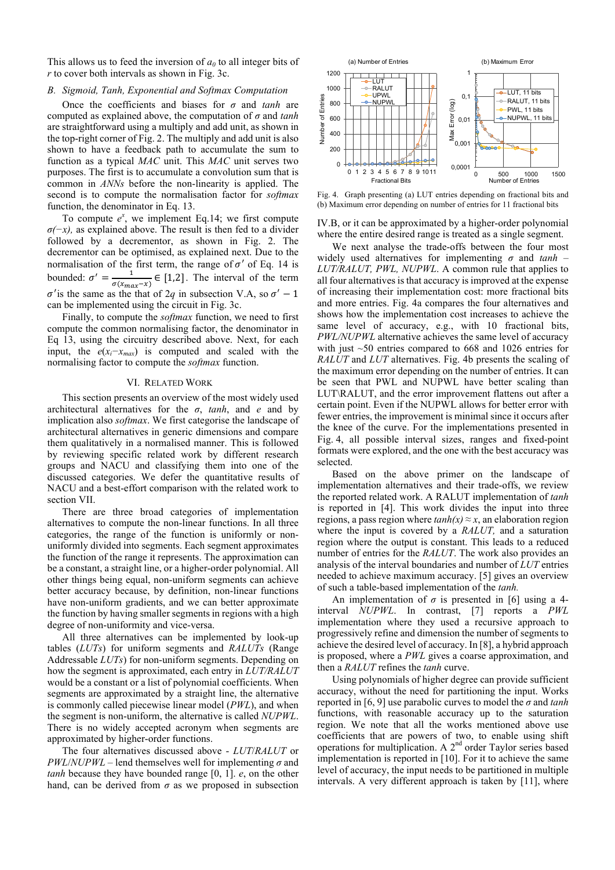This allows us to feed the inversion of  $a_0$  to all integer bits of *r* to cover both intervals as shown in Fig. 3c.

#### *B. Sigmoid, Tanh, Exponential and Softmax Computation*

Once the coefficients and biases for *σ* and *tanh* are computed as explained above, the computation of *σ* and *tanh* are straightforward using a multiply and add unit, as shown in the top-right corner of Fig. 2. The multiply and add unit is also shown to have a feedback path to accumulate the sum to function as a typical *MAC* unit. This *MAC* unit serves two purposes. The first is to accumulate a convolution sum that is common in *ANNs* before the non-linearity is applied. The second is to compute the normalisation factor for *softmax* function, the denominator in Eq. 13.

To compute  $e^x$ , we implement Eq.14; we first compute *σ(−x),* as explained above. The result is then fed to a divider followed by a decrementor, as shown in Fig. 2. The decrementor can be optimised, as explained next. Due to the normalisation of the first term, the range of  $\sigma'$  of Eq. 14 is bounded:  $\sigma' = \frac{1}{\sigma(x_{max}-x)} \in [1,2]$ . The interval of the term  $\sigma'$  is the same as the that of 2*q* in subsection V.A, so  $\sigma'$  – 1 can be implemented using the circuit in Fig. 3c.

Finally, to compute the *softmax* function, we need to first compute the common normalising factor, the denominator in Eq 13, using the circuitry described above. Next, for each input, the  $e(x_i - x_{max})$  is computed and scaled with the normalising factor to compute the *softmax* function.

# VI. RELATED WORK

This section presents an overview of the most widely used architectural alternatives for the *σ*, *tanh*, and *e* and by implication also *softmax*. We first categorise the landscape of architectural alternatives in generic dimensions and compare them qualitatively in a normalised manner. This is followed by reviewing specific related work by different research groups and NACU and classifying them into one of the discussed categories. We defer the quantitative results of NACU and a best-effort comparison with the related work to section VII.

There are three broad categories of implementation alternatives to compute the non-linear functions. In all three categories, the range of the function is uniformly or nonuniformly divided into segments. Each segment approximates the function of the range it represents. The approximation can be a constant, a straight line, or a higher-order polynomial. All other things being equal, non-uniform segments can achieve better accuracy because, by definition, non-linear functions have non-uniform gradients, and we can better approximate the function by having smaller segments in regions with a high degree of non-uniformity and vice-versa.

All three alternatives can be implemented by look-up tables (*LUTs*) for uniform segments and *RALUTs* (Range Addressable *LUTs*) for non-uniform segments. Depending on how the segment is approximated, each entry in *LUT/RALUT* would be a constant or a list of polynomial coefficients. When segments are approximated by a straight line, the alternative is commonly called piecewise linear model (*PWL*), and when the segment is non-uniform, the alternative is called *NUPWL*. There is no widely accepted acronym when segments are approximated by higher-order functions.

The four alternatives discussed above - *LUT*/*RALUT* or *PWL*/*NUPWL* – lend themselves well for implementing  $\sigma$  and *tanh* because they have bounded range [0, 1]. *e*, on the other hand, can be derived from  $\sigma$  as we proposed in subsection



Fig. 4. Graph presenting (a) LUT entries depending on fractional bits and (b) Maximum error depending on number of entries for 11 fractional bits

IV.B, or it can be approximated by a higher-order polynomial where the entire desired range is treated as a single segment.

We next analyse the trade-offs between the four most widely used alternatives for implementing *σ* and *tanh* – *LUT/RALUT, PWL, NUPWL*. A common rule that applies to all four alternatives is that accuracy is improved at the expense of increasing their implementation cost: more fractional bits and more entries. Fig. 4a compares the four alternatives and shows how the implementation cost increases to achieve the same level of accuracy, e.g., with 10 fractional bits, *PWL/NUPWL* alternative achieves the same level of accuracy with just  $\sim$ 50 entries compared to 668 and 1026 entries for *RALUT* and *LUT* alternatives. Fig. 4b presents the scaling of the maximum error depending on the number of entries. It can be seen that PWL and NUPWL have better scaling than LUT\RALUT, and the error improvement flattens out after a certain point. Even if the NUPWL allows for better error with fewer entries, the improvement is minimal since it occurs after the knee of the curve. For the implementations presented in Fig. 4, all possible interval sizes, ranges and fixed-point formats were explored, and the one with the best accuracy was selected.

Based on the above primer on the landscape of implementation alternatives and their trade-offs, we review the reported related work. A RALUT implementation of *tanh* is reported in [4]. This work divides the input into three regions, a pass region where  $tanh(x) \approx x$ , an elaboration region where the input is covered by a *RALUT,* and a saturation region where the output is constant. This leads to a reduced number of entries for the *RALUT*. The work also provides an analysis of the interval boundaries and number of *LUT* entries needed to achieve maximum accuracy. [5] gives an overview of such a table-based implementation of the *tanh.*

An implementation of  $\sigma$  is presented in [6] using a 4interval *NUPWL*. In contrast, [7] reports a *PWL* implementation where they used a recursive approach to progressively refine and dimension the number of segments to achieve the desired level of accuracy. In [8], a hybrid approach is proposed, where a *PWL* gives a coarse approximation, and then a *RALUT* refines the *tanh* curve.

Using polynomials of higher degree can provide sufficient accuracy, without the need for partitioning the input. Works reported in [6, 9] use parabolic curves to model the *σ* and *tanh* functions, with reasonable accuracy up to the saturation region. We note that all the works mentioned above use coefficients that are powers of two, to enable using shift operations for multiplication. A  $2<sup>nd</sup>$  order Taylor series based implementation is reported in [10]. For it to achieve the same level of accuracy, the input needs to be partitioned in multiple intervals. A very different approach is taken by [11], where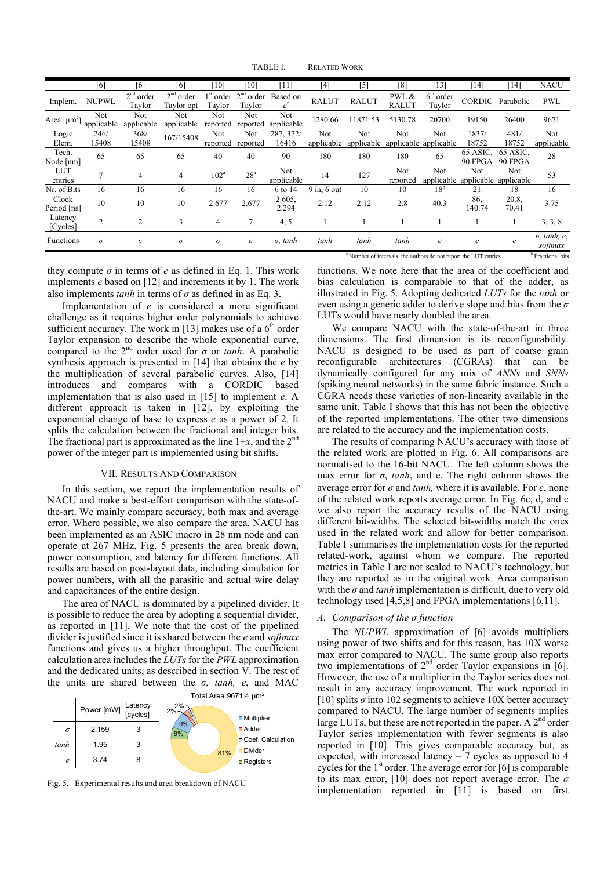TABLE I. RELATED WORK

|                      | [6]                                                                         | [6]                                | [6]                                    | $\lceil 10 \rceil$                   | $\lceil 10 \rceil$                 | [11]                      | [4]           | $[5]$        | [8]                   | $[13]$                | $\lceil 14 \rceil$                      | [14]              | <b>NACU</b>                    |
|----------------------|-----------------------------------------------------------------------------|------------------------------------|----------------------------------------|--------------------------------------|------------------------------------|---------------------------|---------------|--------------|-----------------------|-----------------------|-----------------------------------------|-------------------|--------------------------------|
| Implem.              | <b>NUPWL</b>                                                                | 2 <sup>nd</sup><br>order<br>Taylor | 2 <sup>nd</sup><br>order<br>Tavlor opt | 1 <sup>st</sup><br>' order<br>Taylor | 2 <sup>nd</sup><br>order<br>Tavlor | Based on<br>$e^{\lambda}$ | <b>RALUT</b>  | <b>RALUT</b> | PWL &<br><b>RALUT</b> | $6th$ order<br>Taylor | <b>CORDIC</b>                           | Parabolic         | <b>PWL</b>                     |
| Area $[µm^2]$        | Not<br>applicable                                                           | Not<br>applicable                  | Not<br>applicable                      | Not<br>reported                      | Not<br>reported                    | Not<br>applicable         | 1280.66       | 11871.53     | 5130.78               | 20700                 | 19150                                   | 26400             | 9671                           |
| Logic                | 246/                                                                        | 368/                               | 167/15408                              | Not                                  | Not                                | 287, 372/                 | Not           | Not          | Not                   | Not                   | 1837/                                   | 481/              | Not                            |
| Elem.<br>Tech.       | 15408                                                                       | 15408                              |                                        | reported                             | reported                           | 16416                     | applicable    | applicable   | applicable applicable |                       | 18752<br>65 ASIC.                       | 18752<br>65 ASIC. | applicable                     |
| Node [nm]            | 65                                                                          | 65                                 | 65                                     | 40                                   | 40                                 | 90                        | 180           | 180          | 180                   | 65                    | 90 FPGA                                 | 90 FPGA           | 28                             |
| LUT<br>entries       | $\overline{7}$                                                              | $\overline{4}$                     | 4                                      | 102 <sup>a</sup>                     | 28 <sup>a</sup>                    | Not<br>applicable         | 14            | 127          | Not<br>reported       | Not                   | Not<br>applicable applicable applicable | Not               | 53                             |
| Nr. of Bits          | 16                                                                          | 16                                 | 16                                     | 16                                   | 16                                 | 6 to 14                   | $9$ in, 6 out | 10           | 10                    | 18 <sup>b</sup>       | 21                                      | 18                | 16                             |
| Clock<br>Period [ns] | 10                                                                          | 10                                 | 10                                     | 2.677                                | 2.677                              | 2.605.<br>2.294           | 2.12          | 2.12         | 2.8                   | 40.3                  | 86.<br>140.74                           | 20.8.<br>70.41    | 3.75                           |
| Latency<br>[Cycles]  | $\overline{2}$                                                              | $\overline{2}$                     | 3                                      | $\overline{4}$                       |                                    | 4, 5                      |               |              |                       |                       |                                         |                   | 3, 3, 8                        |
| <b>Functions</b>     | $\sigma$                                                                    | $\sigma$                           | $\sigma$                               | $\sigma$                             | $\sigma$                           | $\sigma$ , tanh           | tanh          | tanh         | tanh                  | $\epsilon$            | $\epsilon$                              | $\epsilon$        | $\sigma$ , tanh, e,<br>softmax |
|                      | <sup>a</sup> Number of intervals, the authors do not report the LUT entries |                                    |                                        |                                      |                                    |                           |               |              |                       |                       |                                         |                   | <sup>b</sup> Fractional bits   |

they compute  $\sigma$  in terms of *e* as defined in Eq. 1. This work implements *e* based on [12] and increments it by 1. The work also implements *tanh* in terms of *σ* as defined in as Eq. 3.

Implementation of *e* is considered a more significant challenge as it requires higher order polynomials to achieve sufficient accuracy. The work in [13] makes use of a  $6<sup>th</sup>$  order Taylor expansion to describe the whole exponential curve, compared to the 2<sup>nd</sup> order used for  $\sigma$  or *tanh*. A parabolic synthesis approach is presented in [14] that obtains the *e* by the multiplication of several parabolic curves. Also, [14] introduces and compares with a CORDIC based implementation that is also used in [15] to implement *e*. A different approach is taken in [12], by exploiting the exponential change of base to express *e* as a power of 2. It splits the calculation between the fractional and integer bits. The fractional part is approximated as the line  $1+x$ , and the  $2^n$ power of the integer part is implemented using bit shifts.

#### VII. RESULTS AND COMPARISON

In this section, we report the implementation results of NACU and make a best-effort comparison with the state-ofthe-art. We mainly compare accuracy, both max and average error. Where possible, we also compare the area. NACU has been implemented as an ASIC macro in 28 nm node and can operate at 267 MHz. Fig. 5 presents the area break down, power consumption, and latency for different functions. All results are based on post-layout data, including simulation for power numbers, with all the parasitic and actual wire delay and capacitances of the entire design.

The area of NACU is dominated by a pipelined divider. It is possible to reduce the area by adopting a sequential divider, as reported in [11]. We note that the cost of the pipelined divider is justified since it is shared between the *e* and *softmax* functions and gives us a higher throughput. The coefficient calculation area includes the *LUTs* for the *PWL* approximation and the dedicated units, as described in section V. The rest of the units are shared between the *σ, tanh, e*, and MAC



Fig. 5. Experimental results and area breakdown of NACU

functions. We note here that the area of the coefficient and bias calculation is comparable to that of the adder, as illustrated in Fig. 5. Adopting dedicated *LUTs* for the *tanh* or even using a generic adder to derive slope and bias from the *σ* LUTs would have nearly doubled the area.

We compare NACU with the state-of-the-art in three dimensions. The first dimension is its reconfigurability. NACU is designed to be used as part of coarse grain reconfigurable architectures (CGRAs) that can be dynamically configured for any mix of *ANNs* and *SNNs* (spiking neural networks) in the same fabric instance. Such a CGRA needs these varieties of non-linearity available in the same unit. Table I shows that this has not been the objective of the reported implementations. The other two dimensions are related to the accuracy and the implementation costs.

The results of comparing NACU's accuracy with those of the related work are plotted in Fig. 6. All comparisons are normalised to the 16-bit NACU. The left column shows the max error for *σ*, *tanh*, and e. The right column shows the average error for *σ* and *tanh,* where it is available. For *e*, none of the related work reports average error*.* In Fig. 6c, d, and e we also report the accuracy results of the NACU using different bit-widths. The selected bit-widths match the ones used in the related work and allow for better comparison. Table I summarises the implementation costs for the reported related-work, against whom we compare. The reported metrics in Table I are not scaled to NACU's technology, but they are reported as in the original work. Area comparison with the  $\sigma$  and *tanh* implementation is difficult, due to very old technology used [4,5,8] and FPGA implementations [6,11].

# *A. Comparison of the σ function*

The *NUPWL* approximation of [6] avoids multipliers using power of two shifts and for this reason, has 10X worse max error compared to NACU. The same group also reports two implementations of  $2<sup>nd</sup>$  order Taylor expansions in [6]. However, the use of a multiplier in the Taylor series does not result in any accuracy improvement. The work reported in [10] splits  $\sigma$  into 102 segments to achieve 10X better accuracy compared to NACU. The large number of segments implies large LUTs, but these are not reported in the paper. A  $2<sup>nd</sup>$  order Taylor series implementation with fewer segments is also reported in [10]. This gives comparable accuracy but, as expected, with increased latency  $-7$  cycles as opposed to 4 cycles for the  $1<sup>st</sup>$  order. The average error for [6] is comparable to its max error, [10] does not report average error. The *σ* implementation reported in [11] is based on first